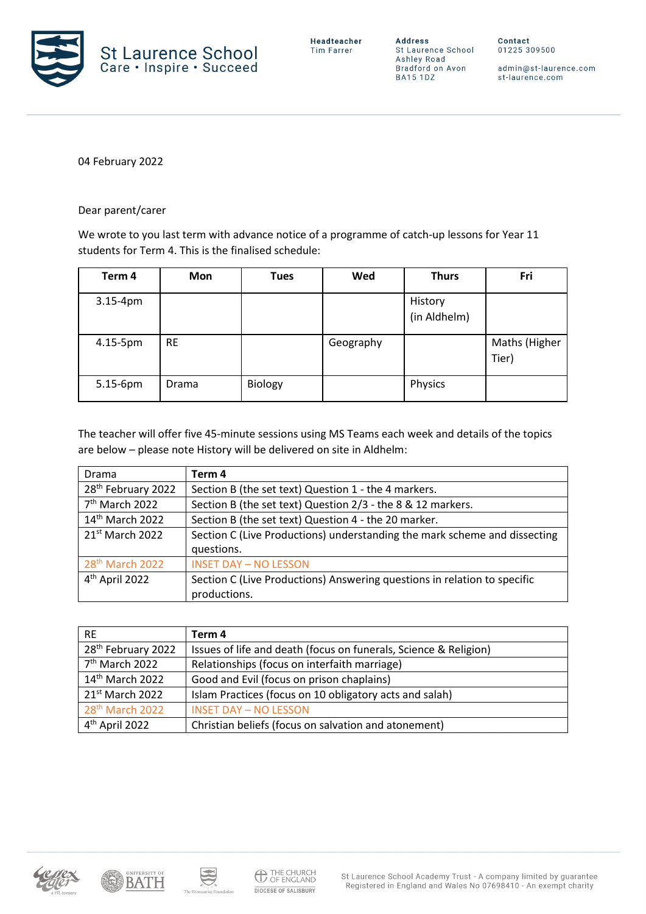

**Address** St Laurence School St Laurence School<br>Ashley Road<br>Bradford on Avon **BA15 1DZ** 

Contact 01225 309500

admin@st-laurence.com st-laurence.com

04 February 2022

Dear parent/carer

We wrote to you last term with advance notice of a programme of catch-up lessons for Year 11 students for Term 4. This is the finalised schedule:

| Term 4     | <b>Mon</b> | <b>Tues</b> | Wed       | <b>Thurs</b>            | Fri                    |
|------------|------------|-------------|-----------|-------------------------|------------------------|
| $3.15-4pm$ |            |             |           | History<br>(in Aldhelm) |                        |
| 4.15-5pm   | <b>RE</b>  |             | Geography |                         | Maths (Higher<br>Tier) |
| 5.15-6pm   | Drama      | Biology     |           | Physics                 |                        |

The teacher will offer five 45-minute sessions using MS Teams each week and details of the topics are below – please note History will be delivered on site in Aldhelm:

| Drama                          | Term 4                                                                    |
|--------------------------------|---------------------------------------------------------------------------|
| 28 <sup>th</sup> February 2022 | Section B (the set text) Question 1 - the 4 markers.                      |
| 7 <sup>th</sup> March 2022     | Section B (the set text) Question 2/3 - the 8 & 12 markers.               |
| 14 <sup>th</sup> March 2022    | Section B (the set text) Question 4 - the 20 marker.                      |
| $21st$ March 2022              | Section C (Live Productions) understanding the mark scheme and dissecting |
|                                | questions.                                                                |
| 28 <sup>th</sup> March 2022    | <b>INSET DAY - NO LESSON</b>                                              |
| 4 <sup>th</sup> April 2022     | Section C (Live Productions) Answering questions in relation to specific  |
|                                | productions.                                                              |

| <b>RE</b>                      | Term 4                                                           |
|--------------------------------|------------------------------------------------------------------|
| 28 <sup>th</sup> February 2022 | Issues of life and death (focus on funerals, Science & Religion) |
| 7 <sup>th</sup> March 2022     | Relationships (focus on interfaith marriage)                     |
| 14 <sup>th</sup> March 2022    | Good and Evil (focus on prison chaplains)                        |
| 21 <sup>st</sup> March 2022    | Islam Practices (focus on 10 obligatory acts and salah)          |
| 28 <sup>th</sup> March 2022    | <b>INSET DAY - NO LESSON</b>                                     |
| 4 <sup>th</sup> April 2022     | Christian beliefs (focus on salvation and atonement)             |





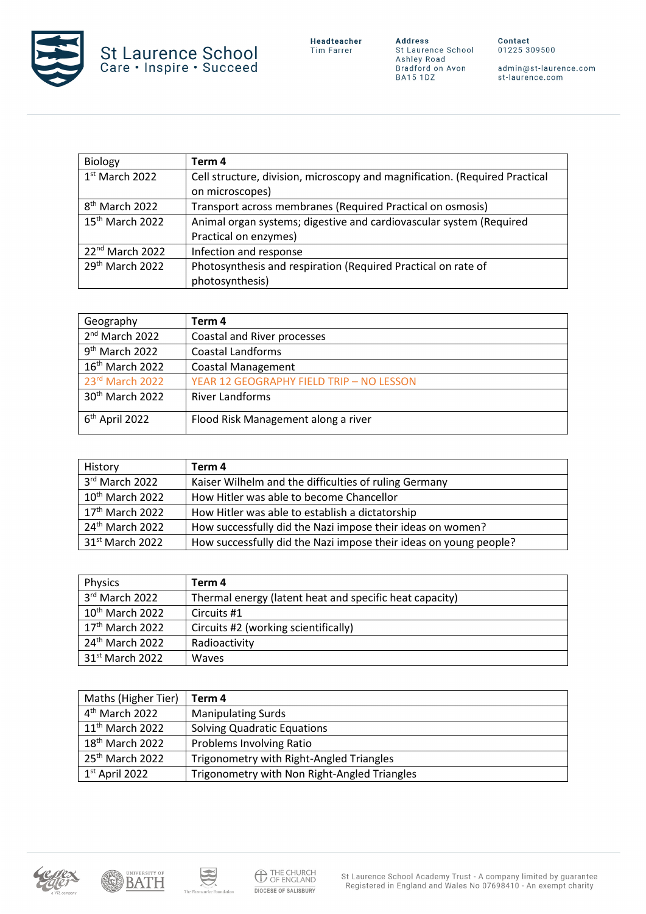

**Address**<br>St Laurence School<br>Ashley Road<br>Bradford on Avon<br>BA15 1DZ

admin@st-laurence.com<br>st-laurence.com

| <b>Biology</b>              | Term 4                                                                      |
|-----------------------------|-----------------------------------------------------------------------------|
| 1st March 2022              | Cell structure, division, microscopy and magnification. (Required Practical |
|                             | on microscopes)                                                             |
| 8 <sup>th</sup> March 2022  | Transport across membranes (Required Practical on osmosis)                  |
| 15 <sup>th</sup> March 2022 | Animal organ systems; digestive and cardiovascular system (Required         |
|                             | Practical on enzymes)                                                       |
| 22 <sup>nd</sup> March 2022 | Infection and response                                                      |
| 29 <sup>th</sup> March 2022 | Photosynthesis and respiration (Required Practical on rate of               |
|                             | photosynthesis)                                                             |

| Geography                   | Term 4                                   |
|-----------------------------|------------------------------------------|
| 2 <sup>nd</sup> March 2022  | Coastal and River processes              |
| 9 <sup>th</sup> March 2022  | <b>Coastal Landforms</b>                 |
| 16 <sup>th</sup> March 2022 | <b>Coastal Management</b>                |
| 23rd March 2022             | YEAR 12 GEOGRAPHY FIELD TRIP - NO LESSON |
| 30 <sup>th</sup> March 2022 | <b>River Landforms</b>                   |
| $6th$ April 2022            | Flood Risk Management along a river      |

| History                     | Term 4                                                            |
|-----------------------------|-------------------------------------------------------------------|
| 3rd March 2022              | Kaiser Wilhelm and the difficulties of ruling Germany             |
| $10th$ March 2022           | How Hitler was able to become Chancellor                          |
| 17th March 2022             | How Hitler was able to establish a dictatorship                   |
| 24 <sup>th</sup> March 2022 | How successfully did the Nazi impose their ideas on women?        |
| 31 <sup>st</sup> March 2022 | How successfully did the Nazi impose their ideas on young people? |

| Physics                     | Term 4                                                  |
|-----------------------------|---------------------------------------------------------|
| 3rd March 2022              | Thermal energy (latent heat and specific heat capacity) |
| 10 <sup>th</sup> March 2022 | Circuits #1                                             |
| $17th$ March 2022           | Circuits #2 (working scientifically)                    |
| 24 <sup>th</sup> March 2022 | Radioactivity                                           |
| 31 <sup>st</sup> March 2022 | Waves                                                   |

| Maths (Higher Tier)         | Term 4                                       |
|-----------------------------|----------------------------------------------|
| 4 <sup>th</sup> March 2022  | <b>Manipulating Surds</b>                    |
| 11 <sup>th</sup> March 2022 | <b>Solving Quadratic Equations</b>           |
| 18 <sup>th</sup> March 2022 | <b>Problems Involving Ratio</b>              |
| 25 <sup>th</sup> March 2022 | Trigonometry with Right-Angled Triangles     |
| $1st$ April 2022            | Trigonometry with Non Right-Angled Triangles |





S

 $\gamma$  b  $\alpha$  C

aurice Foundation